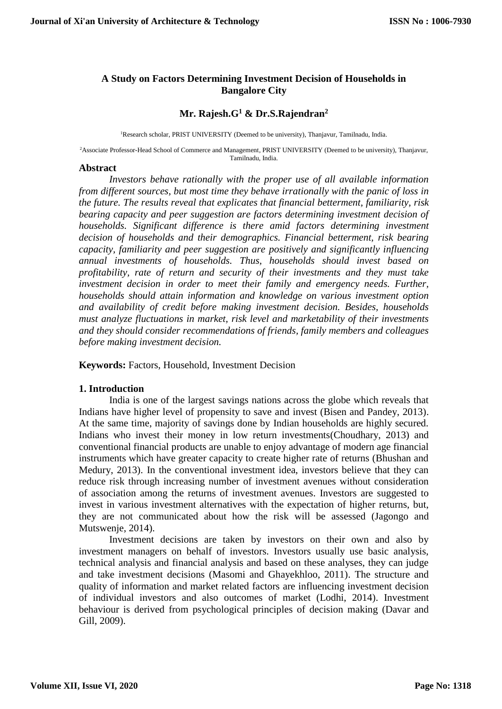## **A Study on Factors Determining Investment Decision of Households in Bangalore City**

#### **Mr. Rajesh.G<sup>1</sup> & Dr.S.Rajendran<sup>2</sup>**

<sup>1</sup>Research scholar, PRIST UNIVERSITY (Deemed to be university), Thanjavur, Tamilnadu, India.

<sup>2</sup>Associate Professor-Head School of Commerce and Management, PRIST UNIVERSITY (Deemed to be university), Thanjavur, Tamilnadu, India.

#### **Abstract**

*Investors behave rationally with the proper use of all available information from different sources, but most time they behave irrationally with the panic of loss in the future. The results reveal that explicates that financial betterment, familiarity, risk bearing capacity and peer suggestion are factors determining investment decision of households. Significant difference is there amid factors determining investment decision of households and their demographics. Financial betterment, risk bearing capacity, familiarity and peer suggestion are positively and significantly influencing annual investments of households. Thus, households should invest based on profitability, rate of return and security of their investments and they must take investment decision in order to meet their family and emergency needs. Further, households should attain information and knowledge on various investment option and availability of credit before making investment decision. Besides, households must analyze fluctuations in market, risk level and marketability of their investments and they should consider recommendations of friends, family members and colleagues before making investment decision.*

**Keywords:** Factors, Household, Investment Decision

#### **1. Introduction**

India is one of the largest savings nations across the globe which reveals that Indians have higher level of propensity to save and invest (Bisen and Pandey, 2013). At the same time, majority of savings done by Indian households are highly secured. Indians who invest their money in low return investments(Choudhary, 2013) and conventional financial products are unable to enjoy advantage of modern age financial instruments which have greater capacity to create higher rate of returns (Bhushan and Medury, 2013). In the conventional investment idea, investors believe that they can reduce risk through increasing number of investment avenues without consideration of association among the returns of investment avenues. Investors are suggested to invest in various investment alternatives with the expectation of higher returns, but, they are not communicated about how the risk will be assessed (Jagongo and Mutswenje, 2014).

Investment decisions are taken by investors on their own and also by investment managers on behalf of investors. Investors usually use basic analysis, technical analysis and financial analysis and based on these analyses, they can judge and take investment decisions (Masomi and Ghayekhloo, 2011). The structure and quality of information and market related factors are influencing investment decision of individual investors and also outcomes of market (Lodhi, 2014). Investment behaviour is derived from psychological principles of decision making (Davar and Gill, 2009).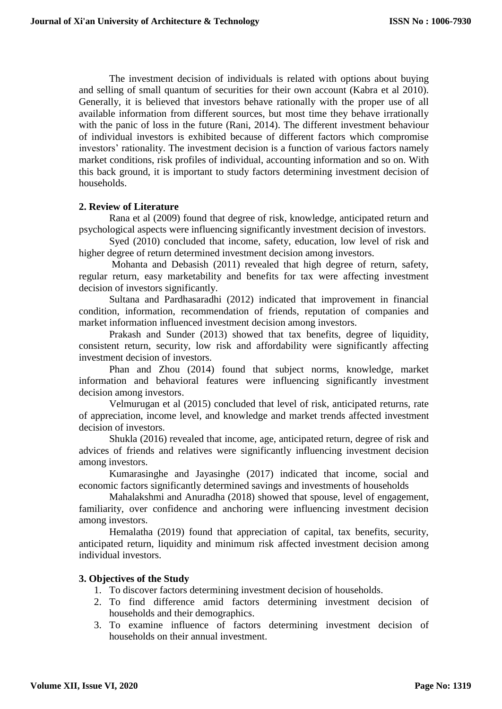The investment decision of individuals is related with options about buying and selling of small quantum of securities for their own account (Kabra et al 2010). Generally, it is believed that investors behave rationally with the proper use of all available information from different sources, but most time they behave irrationally with the panic of loss in the future (Rani, 2014). The different investment behaviour of individual investors is exhibited because of different factors which compromise investors' rationality. The investment decision is a function of various factors namely market conditions, risk profiles of individual, accounting information and so on. With this back ground, it is important to study factors determining investment decision of households.

## **2. Review of Literature**

Rana et al (2009) found that degree of risk, knowledge, anticipated return and psychological aspects were influencing significantly investment decision of investors.

Syed (2010) concluded that income, safety, education, low level of risk and higher degree of return determined investment decision among investors.

Mohanta and Debasish (2011) revealed that high degree of return, safety, regular return, easy marketability and benefits for tax were affecting investment decision of investors significantly.

Sultana and Pardhasaradhi (2012) indicated that improvement in financial condition, information, recommendation of friends, reputation of companies and market information influenced investment decision among investors.

Prakash and Sunder (2013) showed that tax benefits, degree of liquidity, consistent return, security, low risk and affordability were significantly affecting investment decision of investors.

Phan and Zhou (2014) found that subject norms, knowledge, market information and behavioral features were influencing significantly investment decision among investors.

Velmurugan et al (2015) concluded that level of risk, anticipated returns, rate of appreciation, income level, and knowledge and market trends affected investment decision of investors.

Shukla (2016) revealed that income, age, anticipated return, degree of risk and advices of friends and relatives were significantly influencing investment decision among investors.

Kumarasinghe and Jayasinghe (2017) indicated that income, social and economic factors significantly determined savings and investments of households

Mahalakshmi and Anuradha (2018) showed that spouse, level of engagement, familiarity, over confidence and anchoring were influencing investment decision among investors.

Hemalatha (2019) found that appreciation of capital, tax benefits, security, anticipated return, liquidity and minimum risk affected investment decision among individual investors.

### **3. Objectives of the Study**

- 1. To discover factors determining investment decision of households.
- 2. To find difference amid factors determining investment decision of households and their demographics.
- 3. To examine influence of factors determining investment decision of households on their annual investment.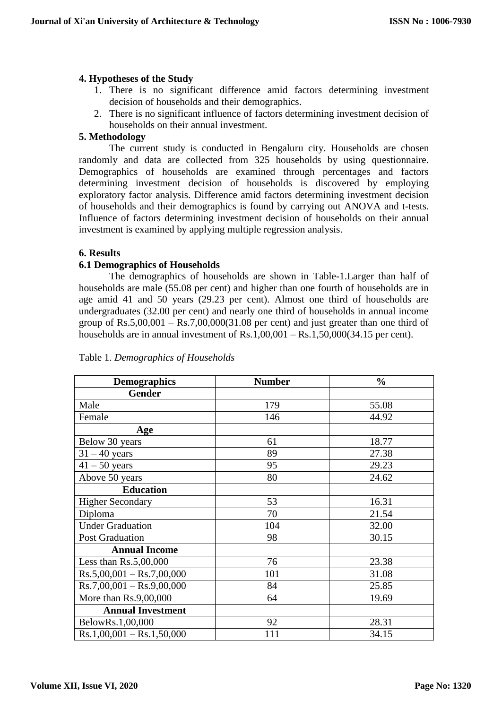## **4. Hypotheses of the Study**

- 1. There is no significant difference amid factors determining investment decision of households and their demographics.
- 2. There is no significant influence of factors determining investment decision of households on their annual investment.

## **5. Methodology**

The current study is conducted in Bengaluru city. Households are chosen randomly and data are collected from 325 households by using questionnaire. Demographics of households are examined through percentages and factors determining investment decision of households is discovered by employing exploratory factor analysis. Difference amid factors determining investment decision of households and their demographics is found by carrying out ANOVA and t-tests. Influence of factors determining investment decision of households on their annual investment is examined by applying multiple regression analysis.

## **6. Results**

## **6.1 Demographics of Households**

The demographics of households are shown in Table-1.Larger than half of households are male (55.08 per cent) and higher than one fourth of households are in age amid 41 and 50 years (29.23 per cent). Almost one third of households are undergraduates (32.00 per cent) and nearly one third of households in annual income group of  $\text{Rs}.5,00,001 - \text{Rs}.7,00,000(31.08)$  per cent) and just greater than one third of households are in annual investment of Rs.1,00,001 – Rs.1,50,000(34.15 per cent).

| <b>Demographics</b>         | <b>Number</b> | $\frac{0}{0}$ |
|-----------------------------|---------------|---------------|
| <b>Gender</b>               |               |               |
| Male                        | 179           | 55.08         |
| Female                      | 146           | 44.92         |
| Age                         |               |               |
| Below 30 years              | 61            | 18.77         |
| $31 - 40$ years             | 89            | 27.38         |
| $41 - 50$ years             | 95            | 29.23         |
| Above 50 years              | 80            | 24.62         |
| <b>Education</b>            |               |               |
| <b>Higher Secondary</b>     | 53            | 16.31         |
| Diploma                     | 70            | 21.54         |
| <b>Under Graduation</b>     | 104           | 32.00         |
| <b>Post Graduation</b>      | 98            | 30.15         |
| <b>Annual Income</b>        |               |               |
| Less than $Rs.5,00,000$     | 76            | 23.38         |
| $Rs.5,00,001 - Rs.7,00,000$ | 101           | 31.08         |
| $Rs.7,00,001 - Rs.9,00,000$ | 84            | 25.85         |
| More than $Rs.9,00,000$     | 64            | 19.69         |
| <b>Annual Investment</b>    |               |               |
| BelowRs.1,00,000            | 92            | 28.31         |
| $Rs.1,00,001 - Rs.1,50,000$ | 111           | 34.15         |

### Table 1. *Demographics of Households*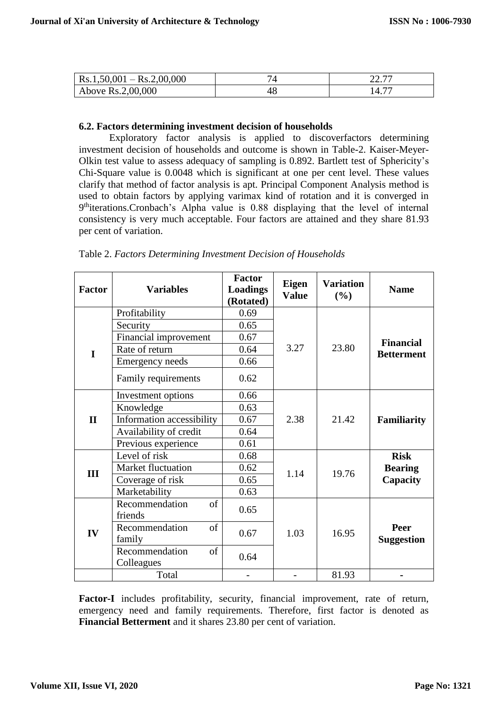| $Rs.1,50,001 - Rs.2,00,000$ | $\overline{\phantom{0}}$ | 22.77<br>44. I |
|-----------------------------|--------------------------|----------------|
| Above Rs.2,00,000           |                          | $14.7^{\circ}$ |

#### **6.2. Factors determining investment decision of households**

Exploratory factor analysis is applied to discoverfactors determining investment decision of households and outcome is shown in Table-2. Kaiser-Meyer-Olkin test value to assess adequacy of sampling is 0.892. Bartlett test of Sphericity's Chi-Square value is 0.0048 which is significant at one per cent level. These values clarify that method of factor analysis is apt. Principal Component Analysis method is used to obtain factors by applying varimax kind of rotation and it is converged in 9<sup>th</sup>iterations.Cronbach's Alpha value is 0.88 displaying that the level of internal consistency is very much acceptable. Four factors are attained and they share 81.93 per cent of variation.

| <b>Factor</b> | <b>Variables</b>          | <b>Factor</b><br><b>Loadings</b><br>(Rotated) | <b>Eigen</b><br><b>Value</b> | <b>Variation</b><br>(%) | <b>Name</b>                           |
|---------------|---------------------------|-----------------------------------------------|------------------------------|-------------------------|---------------------------------------|
|               | Profitability             | 0.69                                          |                              |                         |                                       |
|               | Security                  | 0.65                                          |                              |                         | <b>Financial</b><br><b>Betterment</b> |
|               | Financial improvement     | 0.67                                          |                              |                         |                                       |
| I             | Rate of return            | 0.64                                          | 3.27                         | 23.80                   |                                       |
|               | <b>Emergency needs</b>    | 0.66                                          |                              |                         |                                       |
|               | Family requirements       | 0.62                                          |                              |                         |                                       |
|               | Investment options        | 0.66                                          |                              |                         | <b>Familiarity</b>                    |
|               | Knowledge                 | 0.63                                          | 2.38                         | 21.42                   |                                       |
| $\mathbf{I}$  | Information accessibility | 0.67                                          |                              |                         |                                       |
|               | Availability of credit    | 0.64                                          |                              |                         |                                       |
|               | Previous experience       | 0.61                                          |                              |                         |                                       |
|               | Level of risk             | 0.68                                          |                              | 19.76                   | <b>Risk</b>                           |
| Ш             | Market fluctuation        | 0.62                                          | 1.14                         |                         | <b>Bearing</b>                        |
|               | Coverage of risk          | 0.65                                          |                              |                         | Capacity                              |
|               | Marketability             | 0.63                                          |                              |                         |                                       |
| IV            | Recommendation<br>of      | 0.65                                          |                              |                         |                                       |
|               | friends                   |                                               |                              | 16.95                   | Peer<br><b>Suggestion</b>             |
|               | Recommendation<br>of      | 0.67                                          | 1.03                         |                         |                                       |
|               | family                    |                                               |                              |                         |                                       |
|               | Recommendation<br>of      | 0.64                                          |                              |                         |                                       |
|               | Colleagues<br>Total       |                                               |                              | 81.93                   |                                       |
|               |                           |                                               |                              |                         |                                       |

**Factor-I** includes profitability, security, financial improvement, rate of return, emergency need and family requirements. Therefore, first factor is denoted as **Financial Betterment** and it shares 23.80 per cent of variation.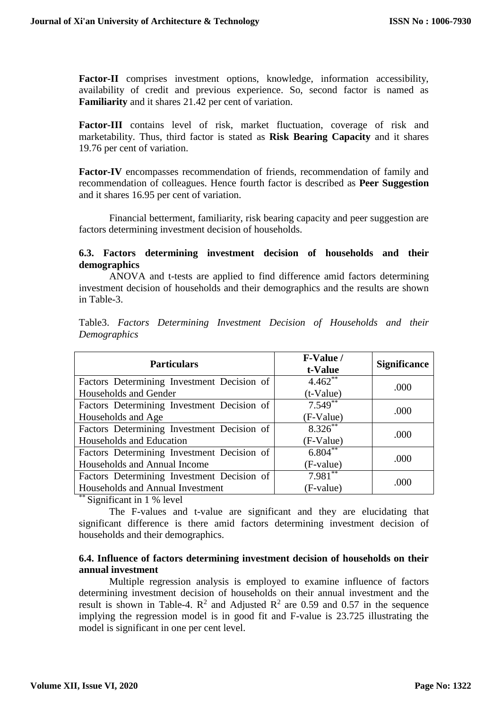**Factor-II** comprises investment options, knowledge, information accessibility, availability of credit and previous experience. So, second factor is named as **Familiarity** and it shares 21.42 per cent of variation.

**Factor-III** contains level of risk, market fluctuation, coverage of risk and marketability. Thus, third factor is stated as **Risk Bearing Capacity** and it shares 19.76 per cent of variation.

**Factor-IV** encompasses recommendation of friends, recommendation of family and recommendation of colleagues. Hence fourth factor is described as **Peer Suggestion** and it shares 16.95 per cent of variation.

Financial betterment, familiarity, risk bearing capacity and peer suggestion are factors determining investment decision of households.

## **6.3. Factors determining investment decision of households and their demographics**

ANOVA and t-tests are applied to find difference amid factors determining investment decision of households and their demographics and the results are shown in Table-3.

|              | Table3. Factors Determining Investment Decision of Households and their |  |  |  |
|--------------|-------------------------------------------------------------------------|--|--|--|
| Demographics |                                                                         |  |  |  |

| <b>Particulars</b>                         | F-Value /<br>t-Value | <b>Significance</b> |
|--------------------------------------------|----------------------|---------------------|
| Factors Determining Investment Decision of | $4.462**$            | .000                |
| Households and Gender                      | $(t-Value)$          |                     |
| Factors Determining Investment Decision of | $7.549**$            | .000                |
| Households and Age                         | (F-Value)            |                     |
| Factors Determining Investment Decision of | $8.326***$           | .000                |
| Households and Education                   | (F-Value)            |                     |
| Factors Determining Investment Decision of | $6.804***$           | .000                |
| Households and Annual Income               | (F-value)            |                     |
| Factors Determining Investment Decision of | $7.981***$           | .000                |
| Households and Annual Investment           | (F-value)            |                     |

\*\* Significant in 1 % level

The F-values and t-value are significant and they are elucidating that significant difference is there amid factors determining investment decision of households and their demographics.

## **6.4. Influence of factors determining investment decision of households on their annual investment**

Multiple regression analysis is employed to examine influence of factors determining investment decision of households on their annual investment and the result is shown in Table-4.  $\mathbb{R}^2$  and Adjusted  $\mathbb{R}^2$  are 0.59 and 0.57 in the sequence implying the regression model is in good fit and F-value is 23.725 illustrating the model is significant in one per cent level.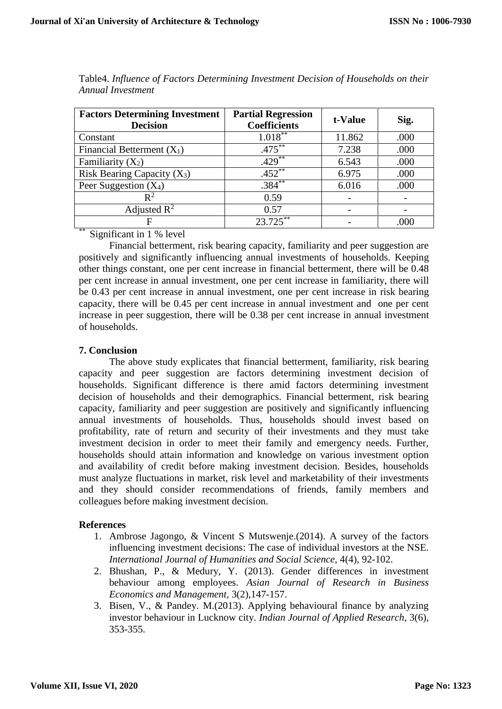| <b>Factors Determining Investment</b><br><b>Decision</b> | <b>Partial Regression</b><br><b>Coefficients</b> | t-Value | Sig. |  |
|----------------------------------------------------------|--------------------------------------------------|---------|------|--|
| Constant                                                 | $1.018***$                                       | 11.862  | .000 |  |
| Financial Betterment $(X_1)$                             | $.475***$                                        | 7.238   | .000 |  |
| Familiarity $(X_2)$                                      | $.429***$                                        | 6.543   | .000 |  |
| Risk Bearing Capacity $(X_3)$                            | $.452***$                                        | 6.975   | .000 |  |
| Peer Suggestion $(X_4)$                                  | $.384***$                                        | 6.016   | .000 |  |
| $\mathsf{R}^2$                                           | 0.59                                             |         |      |  |
| Adjusted $\mathbb{R}^2$                                  | 0.57                                             |         |      |  |
| sk sk                                                    | $23.725***$                                      |         | .000 |  |

Table4. *Influence of Factors Determining Investment Decision of Households on their Annual Investment*

Significant in 1 % level

Financial betterment, risk bearing capacity, familiarity and peer suggestion are positively and significantly influencing annual investments of households. Keeping other things constant, one per cent increase in financial betterment, there will be 0.48 per cent increase in annual investment, one per cent increase in familiarity, there will be 0.43 per cent increase in annual investment, one per cent increase in risk bearing capacity, there will be 0.45 per cent increase in annual investment and one per cent increase in peer suggestion, there will be 0.38 per cent increase in annual investment of households.

# **7. Conclusion**

The above study explicates that financial betterment, familiarity, risk bearing capacity and peer suggestion are factors determining investment decision of households. Significant difference is there amid factors determining investment decision of households and their demographics. Financial betterment, risk bearing capacity, familiarity and peer suggestion are positively and significantly influencing annual investments of households. Thus, households should invest based on profitability, rate of return and security of their investments and they must take investment decision in order to meet their family and emergency needs. Further, households should attain information and knowledge on various investment option and availability of credit before making investment decision. Besides, households must analyze fluctuations in market, risk level and marketability of their investments and they should consider recommendations of friends, family members and colleagues before making investment decision.

### **References**

- 1. Ambrose Jagongo, & Vincent S Mutswenje.(2014). A survey of the factors influencing investment decisions: The case of individual investors at the NSE. *International Journal of Humanities and Social Science*, 4(4), 92-102.
- 2. Bhushan, P., & Medury, Y. (2013). Gender differences in investment behaviour among employees. *Asian Journal of Research in Business Economics and Management*, 3(2),147-157.
- 3. Bisen, V., & Pandey. M.(2013). Applying behavioural finance by analyzing investor behaviour in Lucknow city. *Indian Journal of Applied Research*, 3(6), 353-355.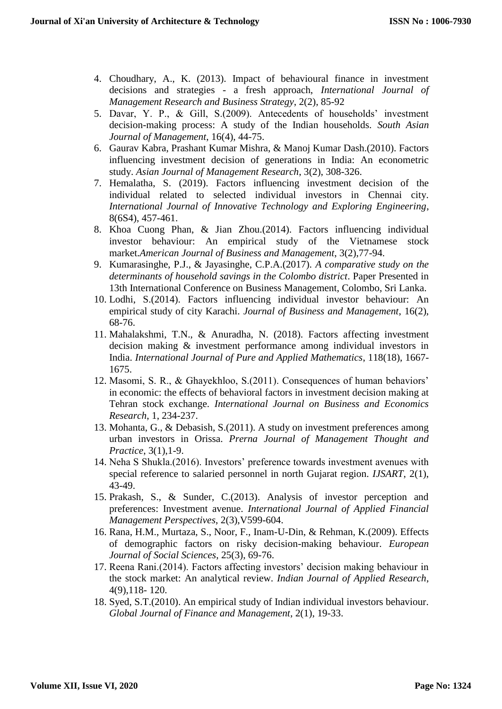- 4. Choudhary, A., K. (2013). Impact of behavioural finance in investment decisions and strategies - a fresh approach, *International Journal of Management Research and Business Strategy*, 2(2), 85-92
- 5. Davar, Y. P., & Gill, S.(2009). Antecedents of households' investment decision-making process: A study of the Indian households. *South Asian Journal of Management*, 16(4), 44-75.
- 6. Gaurav Kabra, Prashant Kumar Mishra, & Manoj Kumar Dash.(2010). Factors influencing investment decision of generations in India: An econometric study. *Asian Journal of Management Research*, 3(2), 308-326.
- 7. Hemalatha, S. (2019). Factors influencing investment decision of the individual related to selected individual investors in Chennai city. *International Journal of Innovative Technology and Exploring Engineering*, 8(6S4), 457-461.
- 8. Khoa Cuong Phan, & Jian Zhou.(2014). Factors influencing individual investor behaviour: An empirical study of the Vietnamese stock market.*American Journal of Business and Management*, 3(2),77-94.
- 9. Kumarasinghe, P.J., & Jayasinghe, C.P.A.(2017). *A comparative study on the determinants of household savings in the Colombo district*. Paper Presented in 13th International Conference on Business Management, Colombo, Sri Lanka.
- 10. Lodhi, S.(2014). Factors influencing individual investor behaviour: An empirical study of city Karachi. *Journal of Business and Management*, 16(2), 68-76.
- 11. Mahalakshmi, T.N., & Anuradha, N. (2018). Factors affecting investment decision making & investment performance among individual investors in India. *International Journal of Pure and Applied Mathematics*, 118(18), 1667- 1675.
- 12. Masomi, S. R., & Ghayekhloo, S.(2011). Consequences of human behaviors' in economic: the effects of behavioral factors in investment decision making at Tehran stock exchange. *International Journal on Business and Economics Research*, 1, 234-237.
- 13. Mohanta, G., & Debasish, S.(2011). A study on investment preferences among urban investors in Orissa. *Prerna Journal of Management Thought and Practice*, 3(1),1-9.
- 14. Neha S Shukla.(2016). Investors' preference towards investment avenues with special reference to salaried personnel in north Gujarat region. *IJSART*, 2(1), 43-49.
- 15. Prakash, S., & Sunder, C.(2013). Analysis of investor perception and preferences: Investment avenue. *International Journal of Applied Financial Management Perspectives*, 2(3),V599-604.
- 16. Rana, H.M., Murtaza, S., Noor, F., Inam-U-Din, & Rehman, K.(2009). Effects of demographic factors on risky decision-making behaviour. *European Journal of Social Sciences*, 25(3), 69-76.
- 17. Reena Rani.(2014). Factors affecting investors' decision making behaviour in the stock market: An analytical review. *Indian Journal of Applied Research*, 4(9),118- 120.
- 18. Syed, S.T.(2010). An empirical study of Indian individual investors behaviour. *Global Journal of Finance and Management*, 2(1), 19-33.